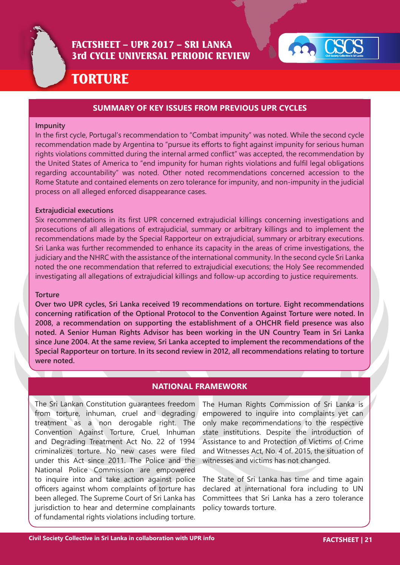



# TORTURE

## **SUMMARY OF KEY ISSUES FROM PREVIOUS UPR CYCLES**

#### **Impunity**

In the first cycle, Portugal's recommendation to "Combat impunity" was noted. While the second cycle recommendation made by Argentina to "pursue its efforts to fight against impunity for serious human rights violations committed during the internal armed conflict" was accepted, the recommendation by the United States of America to "end impunity for human rights violations and fulfil legal obligations regarding accountability" was noted. Other noted recommendations concerned accession to the Rome Statute and contained elements on zero tolerance for impunity, and non-impunity in the judicial process on all alleged enforced disappearance cases.

#### **Extrajudicial executions**

Six recommendations in its first UPR concerned extrajudicial killings concerning investigations and prosecutions of all allegations of extrajudicial, summary or arbitrary killings and to implement the recommendations made by the Special Rapporteur on extrajudicial, summary or arbitrary executions. Sri Lanka was further recommended to enhance its capacity in the areas of crime investigations, the judiciary and the NHRC with the assistance of the international community. In the second cycle Sri Lanka noted the one recommendation that referred to extrajudicial executions; the Holy See recommended investigating all allegations of extrajudicial killings and follow-up according to justice requirements.

#### **Torture**

**Over two UPR cycles, Sri Lanka received 19 recommendations on torture. Eight recommendations concerning ratification of the Optional Protocol to the Convention Against Torture were noted. In 2008, a recommendation on supporting the establishment of a OHCHR field presence was also noted. A Senior Human Rights Advisor has been working in the UN Country Team in Sri Lanka since June 2004. At the same review, Sri Lanka accepted to implement the recommendations of the Special Rapporteur on torture. In its second review in 2012, all recommendations relating to torture were noted.**

#### **NATIONAL FRAMEWORK**

The Sri Lankan Constitution guarantees freedom from torture, inhuman, cruel and degrading treatment as a non derogable right. The Convention Against Torture, Cruel, Inhuman and Degrading Treatment Act No. 22 of 1994 criminalizes torture. No new cases were filed under this Act since 2011. The Police and the National Police Commission are empowered to inquire into and take action against police officers against whom complaints of torture has been alleged. The Supreme Court of Sri Lanka has jurisdiction to hear and determine complainants of fundamental rights violations including torture.

The Human Rights Commission of Sri Lanka is empowered to inquire into complaints yet can only make recommendations to the respective state institutions. Despite the introduction of Assistance to and Protection of Victims of Crime and Witnesses Act, No. 4 of. 2015, the situation of witnesses and victims has not changed.

The State of Sri Lanka has time and time again declared at international fora including to UN Committees that Sri Lanka has a zero tolerance policy towards torture.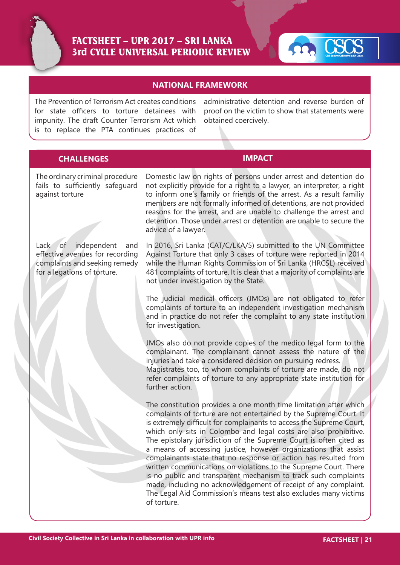



## **NATIONAL FRAMEWORK**

The Prevention of Terrorism Act creates conditions for state officers to torture detainees with impunity. The draft Counter Terrorism Act which is to replace the PTA continues practices of

administrative detention and reverse burden of proof on the victim to show that statements were obtained coercively.

## **CHALLENGES IMPACT**

The ordinary criminal procedure fails to sufficiently safeguard against torture

Lack of independent and effective avenues for recording complaints and seeking remedy for allegations of torture.

Domestic law on rights of persons under arrest and detention do not explicitly provide for a right to a lawyer, an interpreter, a right to inform one's family or friends of the arrest. As a result familiy members are not formally informed of detentions, are not provided reasons for the arrest, and are unable to challenge the arrest and detention. Those under arrest or detention are unable to secure the advice of a lawyer.

In 2016, Sri Lanka (CAT/C/LKA/5) submitted to the UN Committee Against Torture that only 3 cases of torture were reported in 2014 while the Human Rights Commission of Sri Lanka (HRCSL) received 481 complaints of torture. It is clear that a majority of complaints are not under investigation by the State.

The judicial medical officers (JMOs) are not obligated to refer complaints of torture to an independent investigation mechanism and in practice do not refer the complaint to any state institution for investigation.

JMOs also do not provide copies of the medico legal form to the complainant. The complainant cannot assess the nature of the injuries and take a considered decision on pursuing redress.

Magistrates too, to whom complaints of torture are made, do not refer complaints of torture to any appropriate state institution for further action.

The constitution provides a one month time limitation after which complaints of torture are not entertained by the Supreme Court. It is extremely difficult for complainants to access the Supreme Court, which only sits in Colombo and legal costs are also prohibitive. The epistolary jurisdiction of the Supreme Court is often cited as a means of accessing justice, however organizations that assist complainants state that no response or action has resulted from written communications on violations to the Supreme Court. There is no public and transparent mechanism to track such complaints made, including no acknowledgement of receipt of any complaint. The Legal Aid Commission's means test also excludes many victims of torture.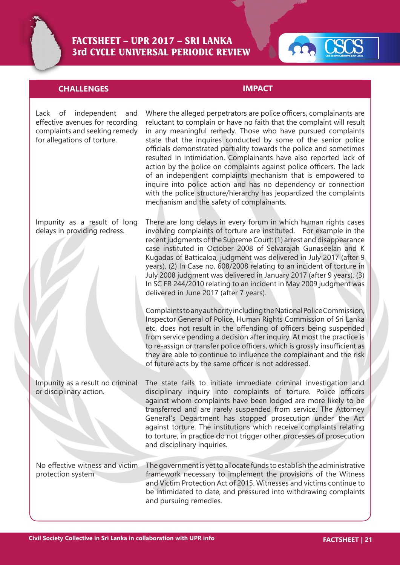



# **CHALLENGES IMPACT**

| Lack of independent<br>and<br>effective avenues for recording<br>complaints and seeking remedy<br>for allegations of torture. | Where the alleged perpetrators are police officers, complainants are<br>reluctant to complain or have no faith that the complaint will result<br>in any meaningful remedy. Those who have pursued complaints<br>state that the inquires conducted by some of the senior police<br>officials demonstrated partiality towards the police and sometimes<br>resulted in intimidation. Complainants have also reported lack of<br>action by the police on complaints against police officers. The lack<br>of an independent complaints mechanism that is empowered to<br>inquire into police action and has no dependency or connection<br>with the police structure/hierarchy has jeopardized the complaints<br>mechanism and the safety of complainants.                                                                                                                                                                                                                                                                                                                                                                                 |
|-------------------------------------------------------------------------------------------------------------------------------|---------------------------------------------------------------------------------------------------------------------------------------------------------------------------------------------------------------------------------------------------------------------------------------------------------------------------------------------------------------------------------------------------------------------------------------------------------------------------------------------------------------------------------------------------------------------------------------------------------------------------------------------------------------------------------------------------------------------------------------------------------------------------------------------------------------------------------------------------------------------------------------------------------------------------------------------------------------------------------------------------------------------------------------------------------------------------------------------------------------------------------------|
| Impunity as a result of long<br>delays in providing redress.                                                                  | There are long delays in every forum in which human rights cases<br>involving complaints of torture are instituted.  For example in the<br>recent judgments of the Supreme Court: (1) arrest and disappearance<br>case instituted in October 2008 of Selvarajah Gunaseelan and K<br>Kugadas of Batticaloa, judgment was delivered in July 2017 (after 9<br>years). (2) In Case no. 608/2008 relating to an incident of torture in<br>July 2008 judgment was delivered in January 2017 (after 9 years). (3)<br>In SC FR 244/2010 relating to an incident in May 2009 judgment was<br>delivered in June 2017 (after 7 years).<br>Complaints to any authority including the National Police Commission,<br>Inspector General of Police, Human Rights Commission of Sri Lanka<br>etc, does not result in the offending of officers being suspended<br>from service pending a decision after inquiry. At most the practice is<br>to re-assign or transfer police officers, which is grossly insufficient as<br>they are able to continue to influence the complainant and the risk<br>of future acts by the same officer is not addressed. |
| Impunity as a result no criminal<br>or disciplinary action.                                                                   | The state fails to initiate immediate criminal investigation and<br>disciplinary inquiry into complaints of torture. Police officers<br>against whom complaints have been lodged are more likely to be<br>transferred and are rarely suspended from service. The Attorney<br>General's Department has stopped prosecution under the Act<br>against torture. The institutions which receive complaints relating<br>to torture, in practice do not trigger other processes of prosecution<br>and disciplinary inquiries.                                                                                                                                                                                                                                                                                                                                                                                                                                                                                                                                                                                                                |
| No effective witness and victim<br>protection system                                                                          | The government is yet to allocate funds to establish the administrative<br>framework necessary to implement the provisions of the Witness<br>and Victim Protection Act of 2015. Witnesses and victims continue to<br>be intimidated to date, and pressured into withdrawing complaints<br>and pursuing remedies.                                                                                                                                                                                                                                                                                                                                                                                                                                                                                                                                                                                                                                                                                                                                                                                                                      |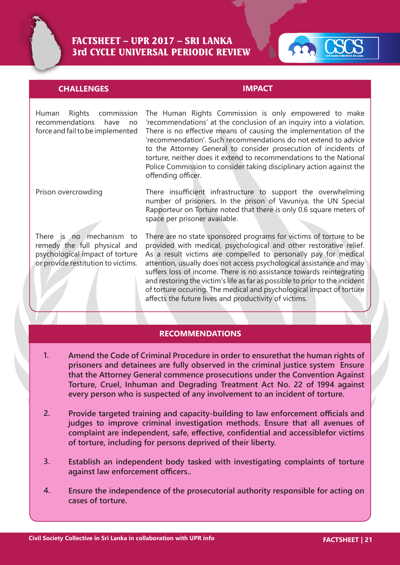



#### **CHALLENGES IMPACT**

Human Rights commission The Human Rights Commission is only empowered to make recommendations have no 'recommendations' at the conclusion of an inquiry into a violation. force and fail to be implemented  $\;\;\;$  There is no effective means of causing the implementation of the  $\;$ 'recommendation'. Such recommendations do not extend to advice to the Attorney General to consider prosecution of incidents of torture, neither does it extend to recommendations to the National Police Commission to consider taking disciplinary action against the offending officer.

Prison overcrowding

There is no mechanism to remedy the full physical and psychological impact of torture or provide restitution to victims. There insufficient infrastructure to support the overwhelming number of prisoners. In the prison of Vavuniya, the UN Special Rapporteur on Torture noted that there is only 0.6 square meters of space per prisoner available.

There are no state sponsored programs for victims of torture to be provided with medical, psychological and other restorative relief. As a result victims are compelled to personally pay for medical attention, usually does not access psychological assistance and may suffers loss of income. There is no assistance towards reintegrating and restoring the victim's life as far as possible to prior to the incident of torture occuring. The medical and psychological impact of torture affects the future lives and productivity of victims.

#### **RECOMMENDATIONS**

- **Amend the Code of Criminal Procedure in order to ensurethat the human rights of prisoners and detainees are fully observed in the criminal justice system Ensure that the Attorney General commence prosecutions under the Convention Against Torture, Cruel, Inhuman and Degrading Treatment Act No. 22 of 1994 against every person who is suspected of any involvement to an incident of torture. 1.**
- **Provide targeted training and capacity-building to law enforcement officials and judges to improve criminal investigation methods. Ensure that all avenues of complaint are independent, safe, effective, confidential and accessiblefor victims of torture, including for persons deprived of their liberty. 2.**
- **Establish an independent body tasked with investigating complaints of torture against law enforcement officers.. 3.**
- **Ensure the independence of the prosecutorial authority responsible for acting on cases of torture. 4.**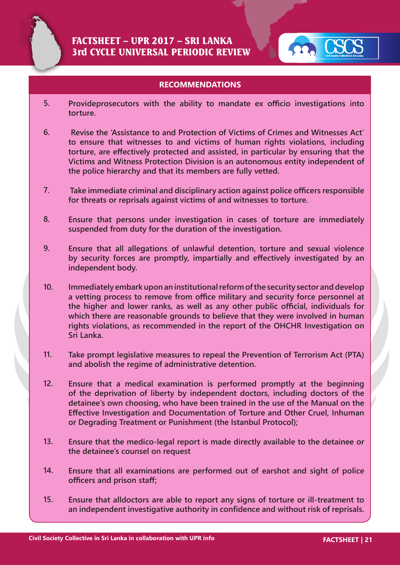



#### **RECOMMENDATIONS**

- **5. Provideprosecutors with the ability to mandate ex officio investigations into torture.**
- **6. Revise the 'Assistance to and Protection of Victims of Crimes and Witnesses Act' to ensure that witnesses to and victims of human rights violations, including torture, are effectively protected and assisted, in particular by ensuring that the Victims and Witness Protection Division is an autonomous entity independent of the police hierarchy and that its members are fully vetted.**
- **7. Take immediate criminal and disciplinary action against police officers responsible for threats or reprisals against victims of and witnesses to torture.**
- **8. Ensure that persons under investigation in cases of torture are immediately suspended from duty for the duration of the investigation.**
- **9. Ensure that all allegations of unlawful detention, torture and sexual violence by security forces are promptly, impartially and effectively investigated by an independent body.**
- **10. Immediately embark upon an institutional reform of the security sector and develop a vetting process to remove from office military and security force personnel at the higher and lower ranks, as well as any other public official, individuals for which there are reasonable grounds to believe that they were involved in human rights violations, as recommended in the report of the OHCHR Investigation on Sri Lanka.**
- **11. Take prompt legislative measures to repeal the Prevention of Terrorism Act (PTA) and abolish the regime of administrative detention.**
- **12. Ensure that a medical examination is performed promptly at the beginning of the deprivation of liberty by independent doctors, including doctors of the detainee's own choosing, who have been trained in the use of the Manual on the Effective Investigation and Documentation of Torture and Other Cruel, Inhuman or Degrading Treatment or Punishment (the Istanbul Protocol);**
- **13. Ensure that the medico-legal report is made directly available to the detainee or the detainee's counsel on request**
- **14. Ensure that all examinations are performed out of earshot and sight of police officers and prison staff;**
- **15. Ensure that alldoctors are able to report any signs of torture or ill-treatment to an independent investigative authority in confidence and without risk of reprisals.**